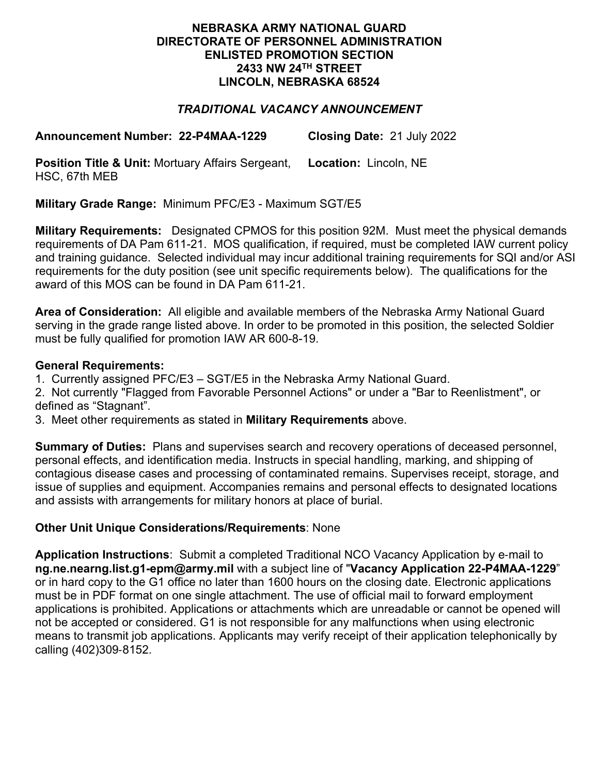### **NEBRASKA ARMY NATIONAL GUARD DIRECTORATE OF PERSONNEL ADMINISTRATION ENLISTED PROMOTION SECTION 2433 NW 24TH STREET LINCOLN, NEBRASKA 68524**

# *TRADITIONAL VACANCY ANNOUNCEMENT*

**Announcement Number: 22-P4MAA-1229 Closing Date:** 21 July 2022

**Position Title & Unit:** Mortuary Affairs Sergeant, HSC, 67th MEB **Location:** Lincoln, NE

**Military Grade Range:** Minimum PFC/E3 - Maximum SGT/E5

**Military Requirements:** Designated CPMOS for this position 92M. Must meet the physical demands requirements of DA Pam 611-21. MOS qualification, if required, must be completed IAW current policy and training guidance. Selected individual may incur additional training requirements for SQI and/or ASI requirements for the duty position (see unit specific requirements below). The qualifications for the award of this MOS can be found in DA Pam 611-21.

**Area of Consideration:** All eligible and available members of the Nebraska Army National Guard serving in the grade range listed above. In order to be promoted in this position, the selected Soldier must be fully qualified for promotion IAW AR 600-8-19.

# **General Requirements:**

1. Currently assigned PFC/E3 – SGT/E5 in the Nebraska Army National Guard.

2. Not currently "Flagged from Favorable Personnel Actions" or under a "Bar to Reenlistment", or defined as "Stagnant".

3. Meet other requirements as stated in **Military Requirements** above.

**Summary of Duties:** Plans and supervises search and recovery operations of deceased personnel, personal effects, and identification media. Instructs in special handling, marking, and shipping of contagious disease cases and processing of contaminated remains. Supervises receipt, storage, and issue of supplies and equipment. Accompanies remains and personal effects to designated locations and assists with arrangements for military honors at place of burial.

# **Other Unit Unique Considerations/Requirements**: None

**Application Instructions**: Submit a completed Traditional NCO Vacancy Application by e-mail to **ng.ne.nearng.list.g1-epm@army.mil** with a subject line of "**Vacancy Application 22-P4MAA-1229**" or in hard copy to the G1 office no later than 1600 hours on the closing date. Electronic applications must be in PDF format on one single attachment. The use of official mail to forward employment applications is prohibited. Applications or attachments which are unreadable or cannot be opened will not be accepted or considered. G1 is not responsible for any malfunctions when using electronic means to transmit job applications. Applicants may verify receipt of their application telephonically by calling (402)309-8152.